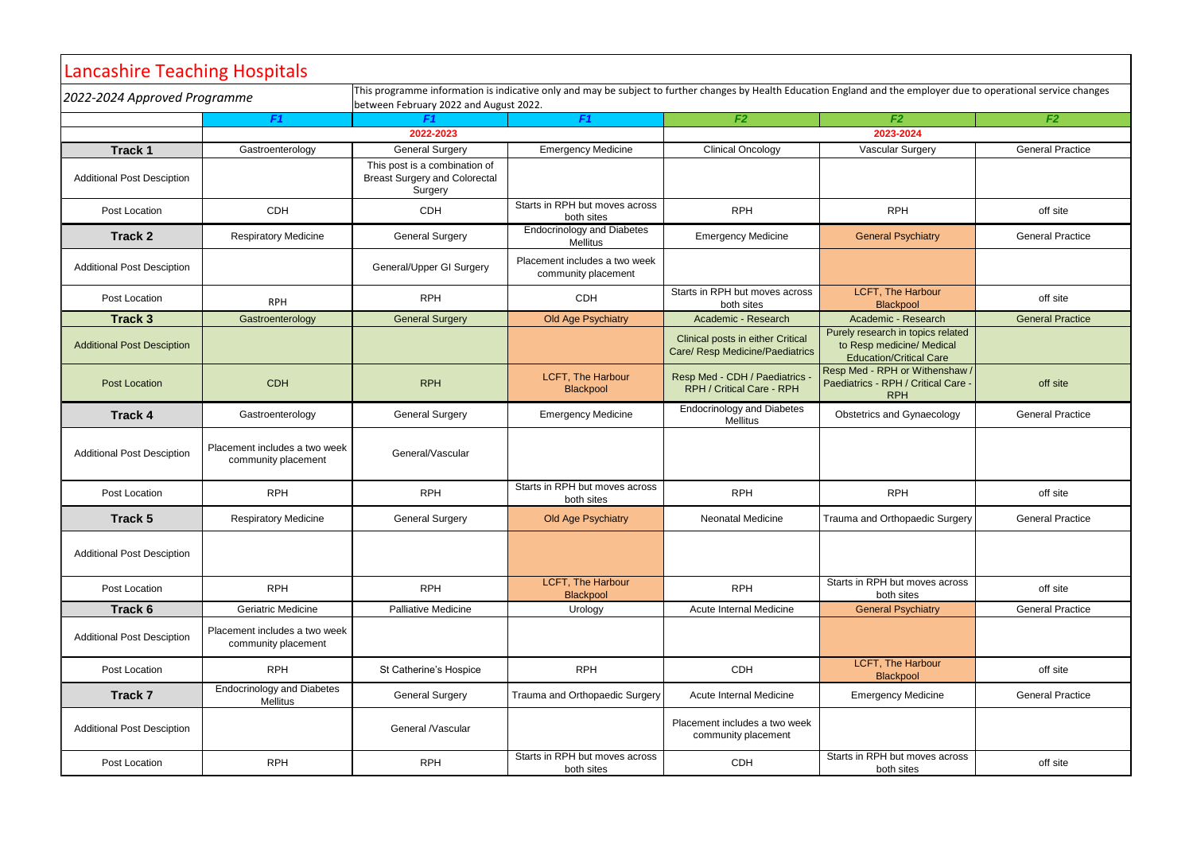| Lancashire Teaching Hospitals     |                                                      |                                                                                                                                                                                                               |                                                      |                                                                             |                                                                                                  |                         |  |  |
|-----------------------------------|------------------------------------------------------|---------------------------------------------------------------------------------------------------------------------------------------------------------------------------------------------------------------|------------------------------------------------------|-----------------------------------------------------------------------------|--------------------------------------------------------------------------------------------------|-------------------------|--|--|
| 2022-2024 Approved Programme      |                                                      | This programme information is indicative only and may be subject to further changes by Health Education England and the employer due to operational service changes<br>between February 2022 and August 2022. |                                                      |                                                                             |                                                                                                  |                         |  |  |
|                                   | F <sub>1</sub>                                       | F1                                                                                                                                                                                                            | F <sub>1</sub>                                       | F <sub>2</sub>                                                              | F <sub>2</sub>                                                                                   | F <sub>2</sub>          |  |  |
|                                   |                                                      | 2022-2023                                                                                                                                                                                                     |                                                      |                                                                             | 2023-2024                                                                                        |                         |  |  |
| <b>Track 1</b>                    | Gastroenterology                                     | <b>General Surgery</b>                                                                                                                                                                                        | <b>Emergency Medicine</b>                            | <b>Clinical Oncology</b>                                                    | <b>Vascular Surgery</b>                                                                          | <b>General Practice</b> |  |  |
| <b>Additional Post Desciption</b> |                                                      | This post is a combination of<br><b>Breast Surgery and Colorectal</b><br>Surgery                                                                                                                              |                                                      |                                                                             |                                                                                                  |                         |  |  |
| Post Location                     | <b>CDH</b>                                           | <b>CDH</b>                                                                                                                                                                                                    | Starts in RPH but moves across<br>both sites         | <b>RPH</b>                                                                  | <b>RPH</b>                                                                                       | off site                |  |  |
| <b>Track 2</b>                    | <b>Respiratory Medicine</b>                          | <b>General Surgery</b>                                                                                                                                                                                        | <b>Endocrinology and Diabetes</b><br><b>Mellitus</b> | <b>Emergency Medicine</b>                                                   | <b>General Psychiatry</b>                                                                        | <b>General Practice</b> |  |  |
| <b>Additional Post Desciption</b> |                                                      | General/Upper GI Surgery                                                                                                                                                                                      | Placement includes a two week<br>community placement |                                                                             |                                                                                                  |                         |  |  |
| Post Location                     | <b>RPH</b>                                           | <b>RPH</b>                                                                                                                                                                                                    | <b>CDH</b>                                           | Starts in RPH but moves across<br>both sites                                | <b>LCFT, The Harbour</b><br><b>Blackpool</b>                                                     | off site                |  |  |
| <b>Track 3</b>                    | Gastroenterology                                     | <b>General Surgery</b>                                                                                                                                                                                        | Old Age Psychiatry                                   | Academic - Research                                                         | Academic - Research                                                                              | <b>General Practice</b> |  |  |
| <b>Additional Post Desciption</b> |                                                      |                                                                                                                                                                                                               |                                                      | <b>Clinical posts in either Critical</b><br>Care/ Resp Medicine/Paediatrics | Purely research in topics related<br>to Resp medicine/ Medical<br><b>Education/Critical Care</b> |                         |  |  |
| <b>Post Location</b>              | <b>CDH</b>                                           | <b>RPH</b>                                                                                                                                                                                                    | <b>LCFT, The Harbour</b><br>Blackpool                | Resp Med - CDH / Paediatrics<br>RPH / Critical Care - RPH                   | Resp Med - RPH or Withenshaw /<br>Paediatrics - RPH / Critical Care -<br><b>RPH</b>              | off site                |  |  |
| <b>Track 4</b>                    | Gastroenterology                                     | <b>General Surgery</b>                                                                                                                                                                                        | <b>Emergency Medicine</b>                            | <b>Endocrinology and Diabetes</b><br>Mellitus                               | <b>Obstetrics and Gynaecology</b>                                                                | <b>General Practice</b> |  |  |
| <b>Additional Post Desciption</b> | Placement includes a two week<br>community placement | General/Vascular                                                                                                                                                                                              |                                                      |                                                                             |                                                                                                  |                         |  |  |
| Post Location                     | <b>RPH</b>                                           | <b>RPH</b>                                                                                                                                                                                                    | Starts in RPH but moves across<br>both sites         | <b>RPH</b>                                                                  | <b>RPH</b>                                                                                       | off site                |  |  |
| Track 5                           | <b>Respiratory Medicine</b>                          | <b>General Surgery</b>                                                                                                                                                                                        | Old Age Psychiatry                                   | <b>Neonatal Medicine</b>                                                    | Trauma and Orthopaedic Surgery                                                                   | <b>General Practice</b> |  |  |
| <b>Additional Post Desciption</b> |                                                      |                                                                                                                                                                                                               |                                                      |                                                                             |                                                                                                  |                         |  |  |
| Post Location                     | <b>RPH</b>                                           | <b>RPH</b>                                                                                                                                                                                                    | <b>LCFT, The Harbour</b><br><b>Blackpool</b>         | <b>RPH</b>                                                                  | Starts in RPH but moves across<br>both sites                                                     | off site                |  |  |
| Track 6                           | <b>Geriatric Medicine</b>                            | Palliative Medicine                                                                                                                                                                                           | Urology                                              | Acute Internal Medicine                                                     | <b>General Psychiatry</b>                                                                        | <b>General Practice</b> |  |  |
| <b>Additional Post Desciption</b> | Placement includes a two week<br>community placement |                                                                                                                                                                                                               |                                                      |                                                                             |                                                                                                  |                         |  |  |
| Post Location                     | <b>RPH</b>                                           | St Catherine's Hospice                                                                                                                                                                                        | <b>RPH</b>                                           | <b>CDH</b>                                                                  | LCFT, The Harbour<br>Blackpool                                                                   | off site                |  |  |
| Track 7                           | <b>Endocrinology and Diabetes</b><br>Mellitus        | <b>General Surgery</b>                                                                                                                                                                                        | Trauma and Orthopaedic Surgery                       | Acute Internal Medicine                                                     | <b>Emergency Medicine</b>                                                                        | <b>General Practice</b> |  |  |
| <b>Additional Post Desciption</b> |                                                      | General /Vascular                                                                                                                                                                                             |                                                      | Placement includes a two week<br>community placement                        |                                                                                                  |                         |  |  |
| Post Location                     | <b>RPH</b>                                           | <b>RPH</b>                                                                                                                                                                                                    | Starts in RPH but moves across<br>both sites         | <b>CDH</b>                                                                  | Starts in RPH but moves across<br>both sites                                                     | off site                |  |  |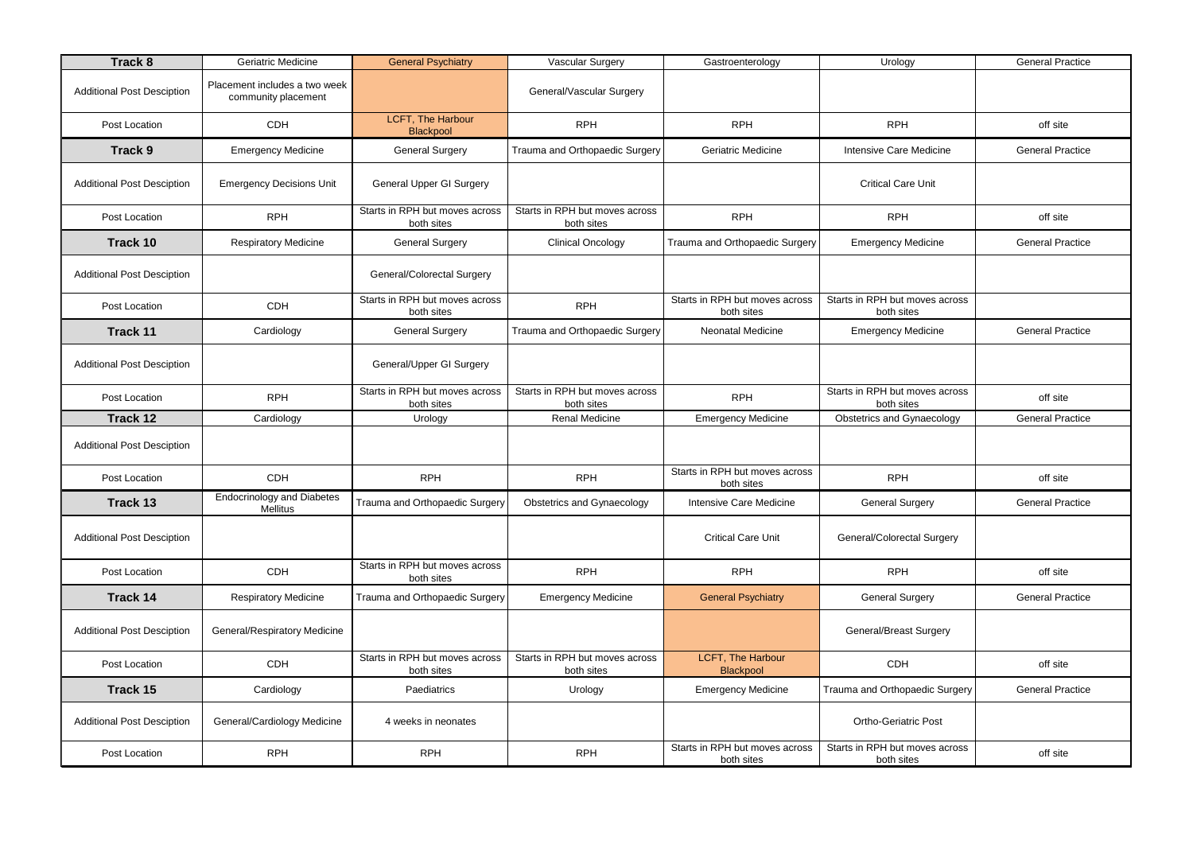| <b>Track 8</b>                    | Geriatric Medicine                                   | <b>General Psychiatry</b>                    | <b>Vascular Surgery</b>                      | Gastroenterology                             | Urology                                      | <b>General Practice</b> |
|-----------------------------------|------------------------------------------------------|----------------------------------------------|----------------------------------------------|----------------------------------------------|----------------------------------------------|-------------------------|
| <b>Additional Post Desciption</b> | Placement includes a two week<br>community placement |                                              | General/Vascular Surgery                     |                                              |                                              |                         |
| Post Location                     | CDH                                                  | <b>LCFT, The Harbour</b><br>Blackpool        | <b>RPH</b>                                   | <b>RPH</b>                                   | <b>RPH</b>                                   | off site                |
| <b>Track 9</b>                    | <b>Emergency Medicine</b>                            | <b>General Surgery</b>                       | Trauma and Orthopaedic Surgery               | Geriatric Medicine                           | <b>Intensive Care Medicine</b>               | <b>General Practice</b> |
| <b>Additional Post Desciption</b> | <b>Emergency Decisions Unit</b>                      | <b>General Upper GI Surgery</b>              |                                              |                                              | <b>Critical Care Unit</b>                    |                         |
| Post Location                     | <b>RPH</b>                                           | Starts in RPH but moves across<br>both sites | Starts in RPH but moves across<br>both sites | <b>RPH</b>                                   | <b>RPH</b>                                   | off site                |
| Track 10                          | <b>Respiratory Medicine</b>                          | <b>General Surgery</b>                       | <b>Clinical Oncology</b>                     | Trauma and Orthopaedic Surgery               | <b>Emergency Medicine</b>                    | <b>General Practice</b> |
| <b>Additional Post Desciption</b> |                                                      | <b>General/Colorectal Surgery</b>            |                                              |                                              |                                              |                         |
| Post Location                     | CDH                                                  | Starts in RPH but moves across<br>both sites | <b>RPH</b>                                   | Starts in RPH but moves across<br>both sites | Starts in RPH but moves across<br>both sites |                         |
| <b>Track 11</b>                   | Cardiology                                           | <b>General Surgery</b>                       | Trauma and Orthopaedic Surgery               | <b>Neonatal Medicine</b>                     | <b>Emergency Medicine</b>                    | <b>General Practice</b> |
| <b>Additional Post Desciption</b> |                                                      | General/Upper GI Surgery                     |                                              |                                              |                                              |                         |
| Post Location                     | <b>RPH</b>                                           | Starts in RPH but moves across<br>both sites | Starts in RPH but moves across<br>both sites | <b>RPH</b>                                   | Starts in RPH but moves across<br>both sites | off site                |
| Track 12                          | Cardiology                                           | Urology                                      | <b>Renal Medicine</b>                        | <b>Emergency Medicine</b>                    | <b>Obstetrics and Gynaecology</b>            | <b>General Practice</b> |
| <b>Additional Post Desciption</b> |                                                      |                                              |                                              |                                              |                                              |                         |
| Post Location                     | CDH                                                  | <b>RPH</b>                                   | <b>RPH</b>                                   | Starts in RPH but moves across<br>both sites | <b>RPH</b>                                   | off site                |
| Track 13                          | <b>Endocrinology and Diabetes</b><br>Mellitus        | Trauma and Orthopaedic Surgery               | <b>Obstetrics and Gynaecology</b>            | <b>Intensive Care Medicine</b>               | <b>General Surgery</b>                       | <b>General Practice</b> |
| <b>Additional Post Desciption</b> |                                                      |                                              |                                              | <b>Critical Care Unit</b>                    | <b>General/Colorectal Surgery</b>            |                         |
| Post Location                     | CDH                                                  | Starts in RPH but moves across<br>both sites | <b>RPH</b>                                   | <b>RPH</b>                                   | <b>RPH</b>                                   | off site                |
| <b>Track 14</b>                   | <b>Respiratory Medicine</b>                          | Trauma and Orthopaedic Surgery               | <b>Emergency Medicine</b>                    | <b>General Psychiatry</b>                    | <b>General Surgery</b>                       | <b>General Practice</b> |
| <b>Additional Post Desciption</b> | <b>General/Respiratory Medicine</b>                  |                                              |                                              |                                              | <b>General/Breast Surgery</b>                |                         |
| Post Location                     | CDH                                                  | Starts in RPH but moves across<br>both sites | Starts in RPH but moves across<br>both sites | LCFT, The Harbour<br>Blackpool               | CDH                                          | off site                |
| Track 15                          | Cardiology                                           | Paediatrics                                  | Urology                                      | <b>Emergency Medicine</b>                    | Trauma and Orthopaedic Surgery               | <b>General Practice</b> |
| <b>Additional Post Desciption</b> | General/Cardiology Medicine                          | 4 weeks in neonates                          |                                              |                                              | <b>Ortho-Geriatric Post</b>                  |                         |
| Post Location                     | <b>RPH</b>                                           | <b>RPH</b>                                   | <b>RPH</b>                                   | Starts in RPH but moves across<br>both sites | Starts in RPH but moves across<br>both sites | off site                |